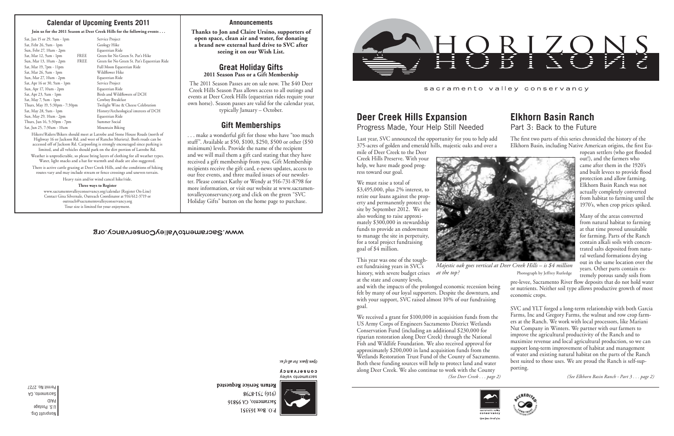Nonprofit Org. U.S. Postage PAID Sacramento, CA Permit No. 2727 *(See Deer Creek . . . page 2) (See Elkhorn Basin Ranch - Part 3 . . . page 2)*

### **Announcements**

**Thanks to Jon and Claire Ursino, supporters of open space, clean air and water, for donating a brand new external hard drive to SVC after seeing it on our Wish List.**

### **Great Holiday Gifts 2011 Season Pass or a Gift Membership**

The 2011 Season Passes are on sale now. The \$40 Deer Creek Hills Season Pass allows access to all outings and events at Deer Creek Hills (equestrian rides require your own horse). Season passes are valid for the calendar year, typically January – October.

# **Gift Memberships**

. . . make a wonderful gift for those who have "too much stuff". Available at \$50, \$100, \$250, \$500 or other (\$50 minimum) levels. Provide the name of the recipient and we will mail them a gift card stating that they have received a gift membership from you. Gift Membership recipients receive the gift card, e-news updates, access to our free events, and three mailed issues of our newsletter. Please contact Kathy or Wendy at 916-731-8798 for more information, or visit our website at www.sacramentovalleyconservancy.org and click on the green "SVC Holiday Gifts" button on the home page to purchase.

### WWW.SacramentoValleyConservancy.org

open Space For all by the

CONSELASUCA sacramento valley



8648-184 (916) Sacramento, CA 95816 P.O. Box 163551



sacramento valley conservancy

# **Elkhorn Basin Ranch** Part 3: Back to the Future

*at the top?* Photograph by Jeffrey Rutledge

ropean settlers (who got flooded out!), and the farmers who came after them in the 1920's and built levees to provide flood protection and allow farming. Elkhorn Basin Ranch was not actually completely converted from habitat to farming until the 1970's, when crop prices spiked.

Many of the areas converted from natural habitat to farming at that time proved unsuitable for farming. Parts of the Ranch contain alkali soils with concentrated salts deposited from natural wetland formations drying out in the same location over the years. Other parts contain extremely porous sandy soils from

pre-levee, Sacramento River flow deposits that do not hold water or nutrients. Neither soil type allows productive growth of most economic crops.

The first two parts of this series chronicled the history of the Elkhorn Basin, including Native American origins, the first Eu-Last year, SVC announced the opportunity for you to help add 375-acres of golden and emerald hills, majestic oaks and over a

> SVC and YLT forged a long-term relationship with both Garcia Farms, Inc and Gregory Farms, the walnut and row crop farmers at the Ranch. We work with local processors, like Mariani Nut Company in Winters. We partner with our farmers to improve the agricultural productivity of the Ranch and to maximize revenue and local agricultural production, so we can support long-term improvement of habitat and management of water and existing natural habitat on the parts of the Ranch best suited to those uses. We are proud the Ranch is self-supporting.



# **Deer Creek Hills Expansion**

Progress Made, Your Help Still Needed

Weather is unpredictable, so please bring layers of clothing for all weather types. Water, light snacks and a hat for warmth and shade are also suggested

mile of Deer Creek to the Deer Creek Hills Preserve. With your help, we have made good progress toward our goal.

We must raise a total of \$3,495,000, plus 2% interest, to retire our loans against the property and permanently protect the site by September 2012. We are also working to raise approximately \$300,000 in stewardship funds to provide an endowment to manage the site in perpetuity, for a total project fundraising goal of \$4 million.

This year was one of the toughest fundraising years in SVC's history, with severe budget crises

at the state and county levels, and with the impacts of the prolonged economic recession being

felt by many of our loyal supporters. Despite the downturn, and with your support, SVC raised almost 10% of our fundraising goal.

We received a grant for \$100,000 in acquisition funds from the US Army Corps of Engineers Sacramento District Wetlands Conservation Fund (including an additional \$230,000 for riparian restoration along Deer Creek) through the National Fish and Wildlife Foundation. We also received approval for approximately \$200,000 in land acquisition funds from the Wetlands Restoration Trust Fund of the County of Sacramento. Both these funding sources will help to protect land and water along Deer Creek. We also continue to work with the County



Open Space. For all of u

Return Service Requested



## **Calendar of Upcoming Events 2011**

#### **Join us for the 2011 Season at Deer Creek Hills for the following events . . .**

| Sat, Jan 15 or 29, 9am - 1pm   |      |
|--------------------------------|------|
| Sat, Febr 26, 9am - 1pm        |      |
| Sun, Febr 27, 10am - 2pm       |      |
| Sat, Mar 12, 9am - 1pm         | FREE |
| Sun, Mar 13, 10am - 2pm        | FREE |
| Sat, Mar 19, 7pm - 11pm        |      |
| Sat, Mar 26, 9am - 1pm         |      |
| Sun, Mar 27, 10am - 2pm        |      |
| Sat, Apr 16 or 30, 9am - 1pm   |      |
| Sun, Apr 17, 10am - 2pm        |      |
| Sat, Apr 23, 9am - 1pm         |      |
| Sat, May 7, 9am - 1pm          |      |
| Thurs, May 19, 5:30pm - 7:30pm |      |
| Sat, May 28, 9am - 1pm         |      |
| Sun, May 29, 10am - 2pm        |      |
| Thurs, Jun 16, 5:30pm - 7pm    |      |
| Sat, Jun 25, 7:30am - 10am     |      |
|                                |      |

Service Project Geology Hike Equestrian Ride Green for No Green St. Pat's Hike Green for No Green St. Pat's Equestrian Ride Full Moon Equestrian Ride Wildflower Hike Equestrian Ride Service Project Equestrian Ride Birds and Wildflowers of DCH Cowboy Breakfast Twilight Wine & Cheese Celebration History/Archeological interests of DCH Equestrian Ride Summer Social Mountain Biking

Hikers/Riders/Bikers should meet at Latrobe and Stone House Roads (north of Highway 16 or Jackson Rd. and west of Rancho Murieta). Both roads can be accessed off of Jackson Rd. Carpooling is strongly encouraged since parking is limited, and all vehicles should park on the dirt portion of Latrobe Rd.

There is active cattle grazing at Deer Creek Hills, and the conditions of hiking routes vary and may include stream or fence crossings and uneven terrain.

Heavy rain and/or wind cancel hike/ride.

#### **Three ways to Register**

www.sacramentovalleyconservancy.org/calendar (Register On-Line) Contact Gina Silvernale, Outreach Coordinator at 916/612-3719 or outreach@sacramentovalleyconservancy.org Tour size is limited for your enjoyment.